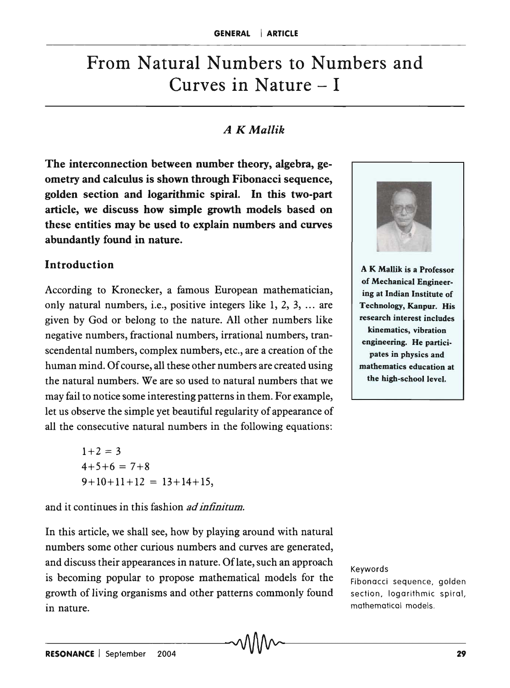# From Natural Numbers to Numbers and Curves in Nature  $-1$

# *A K Mallik*

The interconnection between number theory, algebra, geometry and calculus is shown through Fibonacci sequence, golden section and logarithmic spiral. In this two-part article, we discuss how simple growth models based on these entities may be used to explain numbers and curves abundantly found in nature.

## Introduction

According to Kronecker, a famous European mathematician, only natural numbers, i.e., positive integers like 1, 2, 3, ... are given by God or belong to the nature. All other numbers like negative numbers, fractional numbers, irrational numbers, transcendental numbers, complex numbers, etc., are a creation of the human mind. Of course, all these other numbers are created using the natural numbers. We are so used to natural numbers that we may fail to notice some interesting patterns in them. For example, let us observe the simple yet beautiful regularity of appearance of all the consecutive natural numbers in the following equations:

> $1+2=3$  $4+5+6 = 7+8$  $9+10+11+12 = 13+14+15$ ,

and it continues in this fashion *ad infinitum.* 

In this article, we shall see, how by playing around with natural numbers some other curious numbers and curves are generated, and discuss their appearances in nature. Of late, such an approach is becoming popular to propose mathematical models for the growth of living organisms and other patterns commonly found in nature.



A K Mallik is a Professor of Mechanical Engineering at Indian Institute of Technology, Kanpur. His research interest includes kinematics, vibration engineering. He participates in physics and mathematics education at the high-school level.

#### Keywords

Fibonacci sequence, golden section. logarithmic spiral, mathematical models.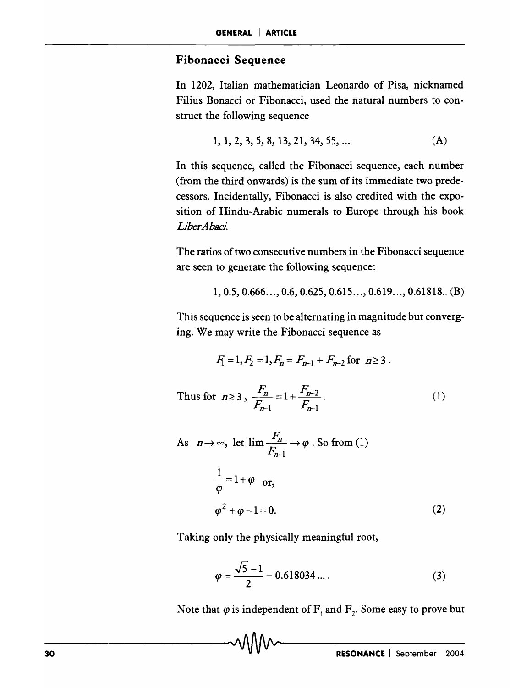#### **Fibonacci Sequence**

In 1202, Italian mathematician Leonardo of Pisa, nicknamed Filius Bonacci or Fibonacci, used the natural numbers to construct the following sequence

$$
1, 1, 2, 3, 5, 8, 13, 21, 34, 55, \dots
$$
 (A)

In this sequence, called the Fibonacci sequence, each number (from the third onwards) is the sum of its immediate two predecessors. Incidentally, Fibonacci is also credited with the exposition of Hindu-Arabic numerals to Europe through his book *LiberAbaci* 

The ratios of two consecutive numbers in the Fibonacci sequence are seen to generate the following sequence:

$$
1, 0.5, 0.666..., 0.6, 0.625, 0.615..., 0.619..., 0.61818.. (B)
$$

This sequence is seen to be alternating in magnitude but converging. We may write the Fibonacci sequence as

$$
F_1 = 1, F_2 = 1, F_n = F_{n-1} + F_{n-2} \text{ for } n \ge 3.
$$

Thus for  $n \ge 3$ ,  $\frac{F_n}{F_n} = 1 + \frac{F_{n-2}}{F_n}$ .  $F_{n-1}$   $F_{n-1}$ (1)

As 
$$
n \to \infty
$$
, let  $\lim \frac{F_n}{F_{n+1}} \to \varphi$ . So from (1)  
\n
$$
\frac{1}{\varphi} = 1 + \varphi \quad \text{or,}
$$
\n
$$
\varphi^2 + \varphi - 1 = 0.
$$
\n(2)

Taking only the physically meaningful root,

$$
\varphi = \frac{\sqrt{5} - 1}{2} = 0.618034 \dots
$$
 (3)

Note that  $\varphi$  is independent of  $F_1$  and  $F_2$ . Some easy to prove but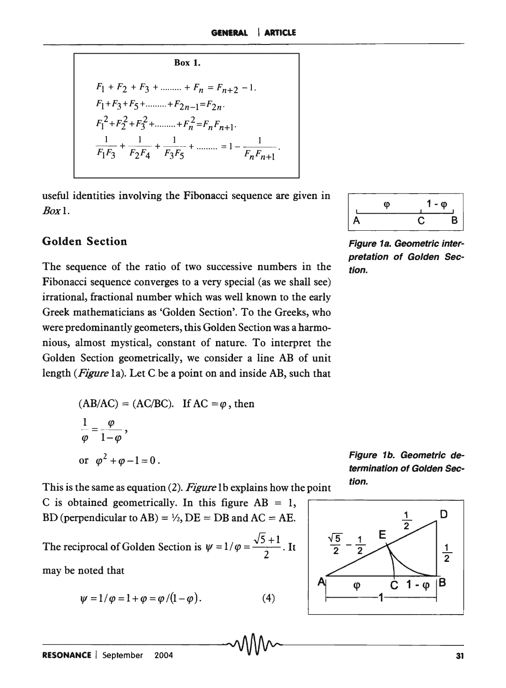$$
Box 1.
$$
  
\n
$$
F_1 + F_2 + F_3 + \dots + F_n = F_{n+2} - 1.
$$
  
\n
$$
F_1 + F_3 + F_5 + \dots + F_{2n-1} = F_{2n}.
$$
  
\n
$$
F_1^2 + F_2^2 + F_3^2 + \dots + F_n^2 = F_n F_{n+1}.
$$
  
\n
$$
\frac{1}{F_1 F_3} + \frac{1}{F_2 F_4} + \frac{1}{F_3 F_5} + \dots + F_n^2 F_{n+1}.
$$

usefu B O l l identities involving the Fibonacci sequence are given in  $\begin{array}{c|c}\n\hline\n\phi & 1-\phi \\
\hline\nA & C & B\n\end{array}$ 

The sequence of the ratio of two successive numbers in the  $\epsilon$  tion. Fibonacci sequence converges to a very special (as we shall see) irrational, fractional number which was well known to the early Greek mathematicians as 'Golden Section'. To the Greeks, who were predominantly geometers, this Golden Section was a harmonious, almost mystical, constant of nature. To interpret the Golden Section geometrically, we consider a line AB of unit length *(Figure* la). Let G be a point on and inside AB, such that

$$
(AB/AC) = (AC/BC).
$$
 If AC =  $\varphi$ , then  
\n
$$
\frac{1}{\varphi} = \frac{\varphi}{1-\varphi},
$$
\nor  $\varphi^2 + \varphi - 1 = 0$ .

Figure 1b. Geometric determination of Golden Section.

This is the same as equation (2). Figure 1b explains how the point 
$$
\frac{dy}{dx} = f(x)
$$
.

C is obtained geometrically. In this figure AB = 1,  
BD (perpendicular to AB) = 
$$
\frac{1}{2}
$$
, DE = DB and AC = AE.

The reciprocal of Golden Section is  $\psi = 1/\varphi = \frac{\sqrt{5} + 1}{2}$ . It may be noted that

$$
\psi = 1/\varphi = 1 + \varphi = \varphi / (1 - \varphi). \tag{4}
$$

$$
\begin{array}{|c|c|} \hline \varphi & 1-\phi \\ \hline A & C & B \\ \hline \end{array}
$$



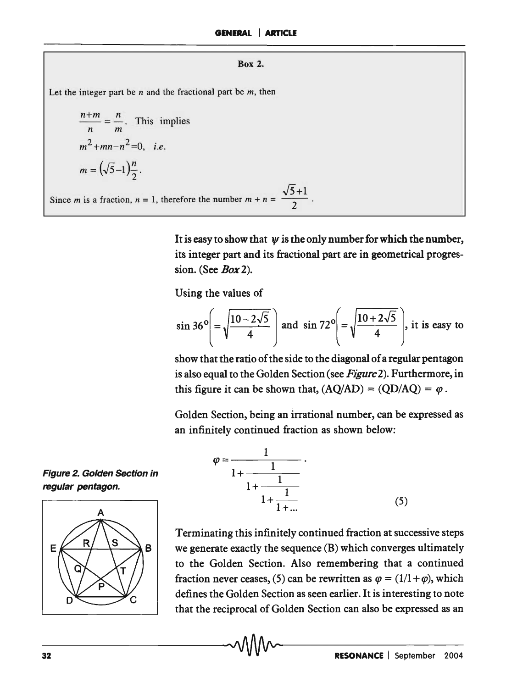#### Box 2.

Let the integer part be *n* and the fractional part be *m,* then

$$
\frac{n+m}{n} = \frac{n}{m}.
$$
 This implies  

$$
m^2 + mn - n^2 = 0, i.e.
$$

$$
m = (\sqrt{5} - 1)\frac{n}{2}.
$$

Since *m* is a fraction,  $n = 1$ , therefore the number  $m + n = \frac{\sqrt{5}+1}{2}$ 2

> It is easy to show that  $\psi$  is the only number for which the number, its integer part and its fractional part are in geometrical progression. (See *Box* 2).

Using the values of

$$
\sin 36^\circ \left( = \sqrt{\frac{10 - 2\sqrt{5}}{4}} \right) \text{ and } \sin 72^\circ \left( = \sqrt{\frac{10 + 2\sqrt{5}}{4}} \right), \text{ it is easy to}
$$

show that the ratio of the side to the diagonal of a regular pentagon is also equal to the Golden Section (see *Figure2).* Furthermore, in this figure it can be shown that,  $(AQ/AD) = (QD/AQ) = \varphi$ .

Golden Section, being an irrational number, can be expressed as an infinitely continued fraction as shown below:

**Figure 2. Golden Section in** regular pentagon.



$$
\varphi = \frac{1}{1 + \frac{1}{1 + \frac{1}{1 + \frac{1}{1 + \dots}}}}.
$$
\n(5)

Terminating this infinitely continued fraction at successive steps we generate exactly the sequence (B) which converges ultimately to the Golden Section. Also remembering that a continued fraction never ceases, (5) can be rewritten as  $\varphi = (1/(1 + \varphi))$ , which defines the Golden Section as seen earlier. It is interesting to note that the reciprocal of Golden Section can also be expressed as an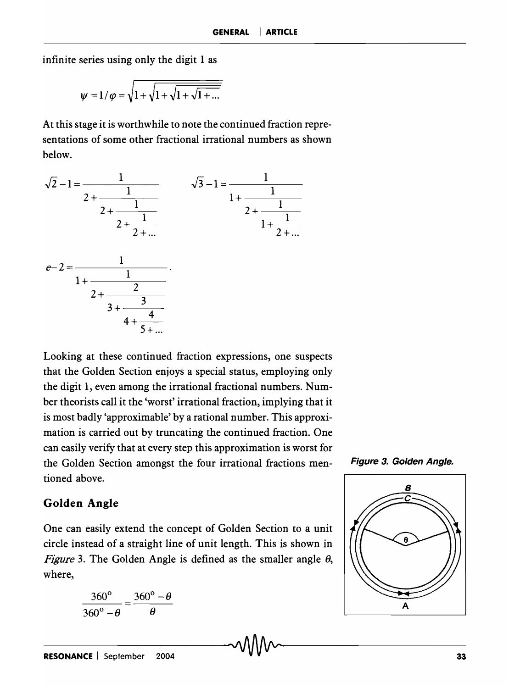infinite series using only the digit 1 as

$$
\psi=1/\varphi=\sqrt{1+\sqrt{1+\sqrt{1+\sqrt{1+\dots}}}}
$$

At this stage it is worthwhile to note the continued fraction representations of some other fractional irrational numbers as shown below.



Looking at these continued fraction expressions, one suspects that the Golden Section enjoys a special status, employing only the digit 1, even among the irrational fractional numbers. Number theorists call it the 'worst' irrational fraction, implying that it is most badly 'approximable' by a rational number. This approximation is carried out by truncating the continued fraction. One can easily verify that at every step this approximation is worst for the Golden Section amongst the four irrational fractions mentioned above.



### **Golden Angle**

One can easily extend the concept of Golden Section to a unit circle instead of a straight line of unit length. This is shown in *Figure* 3. The Golden Angle is defined as the smaller angle  $\theta$ , where,

$$
\frac{360^{\circ}}{360^{\circ}-\theta} = \frac{360^{\circ}-\theta}{\theta}
$$

A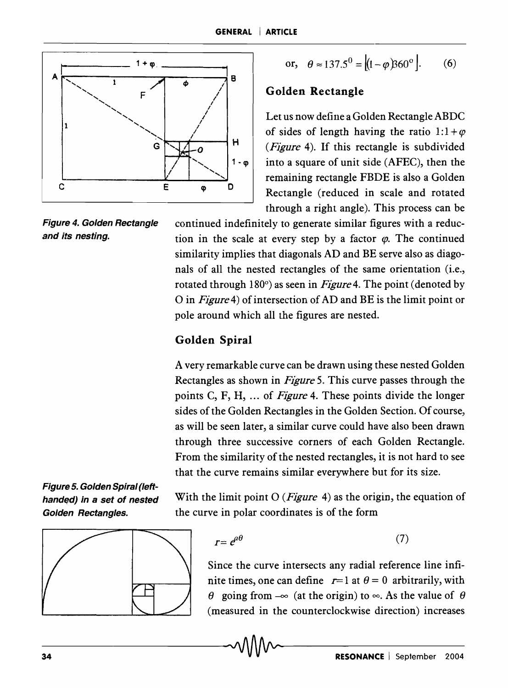

or, 
$$
\theta \approx 137.5^0 = [(1 - \varphi)360^\circ].
$$
 (6)

#### Golden Rectangle

Let us now define a Golden Rectangle ABDC of sides of length having the ratio  $1:1+\varphi$ *(Figure* 4). If this rectangle is subdivided  $1 \cdot \varphi$  into a square of unit side (AFEC), then the remaining rectangle FBDE is also a Golden Rectangle (reduced in scale and rotated through a right angle). This process can be

Figure 4. Golden Rectangle continued indefinitely to generate similar figures with a reducand its nesting. tion in the scale at every step by a factor  $\varphi$ . The continued similarity implies that diagonals AD and BE serve also as diagonals of all the nested rectangles of the same orientation (i.e., rotated through 180°) as seen in *Figure* 4. The point (denoted by o in *Figure* 4) of intersection of AD and BE is the limit point or pole around which all the figures are nested.

#### Golden Spiral

A very remarkable curve can be drawn using these nested Golden Rectangles as shown in *Figure* 5. This curve passes through the points C, F, H, ... of *Figure* 4. These points divide the longer sides of the Golden Rectangles in the Golden Section. Of course, as will be seen later, a similar curve could have also been drawn through three successive corners of each Golden Rectangle. From the similarity of the nested rectangles, it is not hard to see that the curve remains similar everywhere but for its size.

Figure 5. Golden Spiral (Ieft-



handed) in a set of nested With the limit point  $O(Figure 4)$  as the origin, the equation of Golden Rectangles. the curve in polar coordinates is of the form

$$
r = e^{a\theta} \tag{7}
$$

Since the curve intersects any radial reference line infinite times, one can define  $r=1$  at  $\theta = 0$  arbitrarily, with  $\theta$  going from  $-\infty$  (at the origin) to  $\infty$ . As the value of  $\theta$ (measured in the counterclockwise direction) increases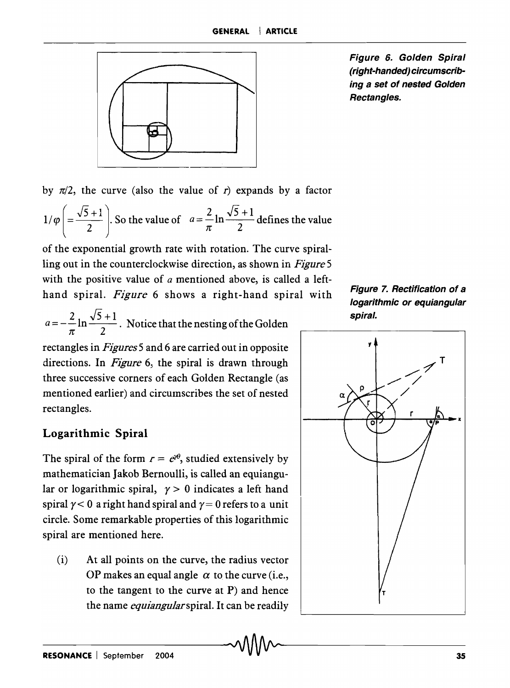

Figure 6. Golden Spiral (right-handed) circumscribing a set of nested Golden Rectangles.

by  $\pi/2$ , the curve (also the value of *r*) expands by a factor  $1/\varphi \left( = \frac{\sqrt{5}+1}{2} \right)$ . So the value of  $a = \frac{2}{\pi} \ln \frac{\sqrt{5}+1}{2}$  defines the value

of the exponential growth rate with rotation. The curve spiralling out in the counterclockwise direction, as shown in *Figure* 5 with the positive value of *a* mentioned above, is called a lefthand spiral. *Figure* 6 shows a right-hand spiral with

$$
a = -\frac{2}{\pi} \ln \frac{\sqrt{5} + 1}{2}
$$
. Notice that the nesting of the Golden

rectangles in *Figures* 5 and 6 are carried out in opposite directions. In *Figure* 6, the spiral is drawn through three successive corners of each Golden Rectangle (as mentioned earlier) and circumscribes the set of nested rectangles.

# Logarithmic Spiral

The spiral of the form  $r = e^{i\theta}$ , studied extensively by mathematician Jakob Bernoulli, is called an equiangular or logarithmic spiral,  $\gamma > 0$  indicates a left hand spiral  $\gamma$  < 0 a right hand spiral and  $\gamma$  = 0 refers to a unit circle. Some remarkable properties of this logarithmic spiral are mentioned here.

(i) At all points on the curve, the radius vector OP makes an equal angle  $\alpha$  to the curve (i.e., to the tangent to the curve at P) and hence the name *equiangular* spiral. It can be readily



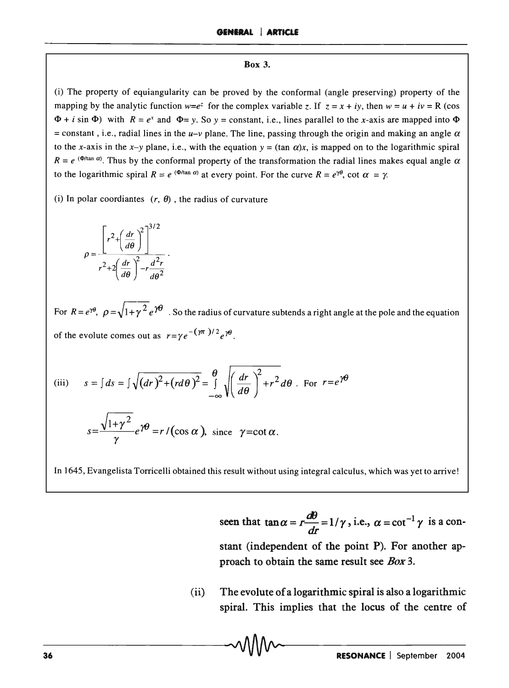#### Box 3.

(i) The property of equiangularity can be proved by the conformal (angle preserving) property of the mapping by the analytic function  $w=e^z$  for the complex variable *z*. If  $z = x + iy$ , then  $w = u + iv = R$  (cos  $\Phi$  + *i* sin  $\Phi$ ) with  $R = e^x$  and  $\Phi = y$ . So  $y = constant$ , i.e., lines parallel to the x-axis are mapped into  $\Phi$ = constant, i.e., radial lines in the  $u-v$  plane. The line, passing through the origin and making an angle  $\alpha$ to the x-axis in the x-y plane, i.e., with the equation  $y = (\tan \alpha)x$ , is mapped on to the logarithmic spiral  $R = e^{(\Phi/\tan \alpha)}$ . Thus by the conformal property of the transformation the radial lines makes equal angle  $\alpha$ to the logarithmic spiral  $R = e^{(\Phi/\tan \alpha)}$  at every point. For the curve  $R = e^{\gamma\theta}$ , cot  $\alpha = \gamma$ .

(i) In polar coordiantes  $(r, \theta)$ , the radius of curvature

$$
\rho = \frac{\left[r^2 + \left(\frac{dr}{d\theta}\right)^2\right]^{3/2}}{r^2 + 2\left(\frac{dr}{d\theta}\right)^2 - r\frac{d^2r}{d\theta^2}}
$$

For  $R = e^{\gamma\theta}$ ,  $\rho = \sqrt{1 + \gamma^2} e^{\gamma\theta}$ . So the radius of curvature subtends a right angle at the pole and the equation of the evolute comes out as  $r = \gamma e^{-(\gamma \pi)/2} e^{\gamma \theta}$ .

(iii) 
$$
s = \int ds = \int \sqrt{(dr)^2 + (rd\theta)^2} = \int_{-\infty}^{\theta} \sqrt{\left(\frac{dr}{d\theta}\right)^2 + r^2} d\theta
$$
. For  $r = e^{\gamma\theta}$   

$$
s = \frac{\sqrt{1 + \gamma^2}}{\gamma} e^{\gamma\theta} = r / (\cos \alpha), \text{ since } \gamma = \cot \alpha.
$$

In 1645, Evangelista Torricelli obtained this result without using integral calculus, which was yet to arrive!

seen that  $\tan \alpha = r \frac{d\theta}{dr} = 1/\gamma$ , i.e.,  $\alpha = \cot^{-1} \gamma$  is a constant (independent of the point P). For another approach to obtain the same result see *Box 3.* 

(ii) The evolute of a logarithmic spiral is also a logarithmic spiral. This implies that the locus of the centre of